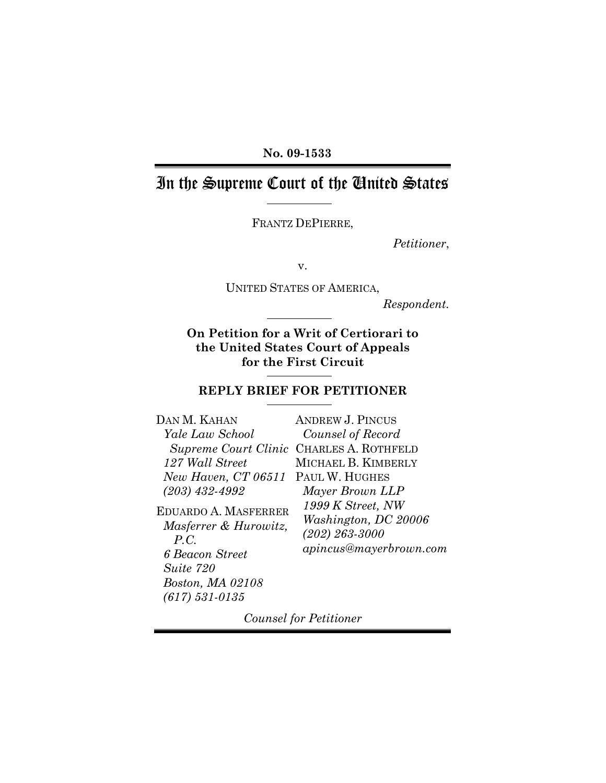#### **No. 09-1533**

# In the Supreme Court of the United States

FRANTZ DEPIERRE,

*Petitioner*,

v.

UNITED STATES OF AMERICA,

*Respondent.*

#### **On Petition for a Writ of Certiorari to the United States Court of Appeals for the First Circuit**

### **REPLY BRIEF FOR PETITIONER**

| <b>ANDREW J. PINCUS</b>                                                                   |
|-------------------------------------------------------------------------------------------|
| Counsel of Record                                                                         |
| Supreme Court Clinic CHARLES A. ROTHFELD                                                  |
| MICHAEL B. KIMBERLY                                                                       |
| <i>New Haven, CT 06511</i> PAUL W. HUGHES                                                 |
| Mayer Brown LLP                                                                           |
| 1999 K Street, NW<br>Washington, DC 20006<br>$(202) 263 - 3000$<br>apincus@mayerbrown.com |
|                                                                                           |

*Counsel for Petitioner*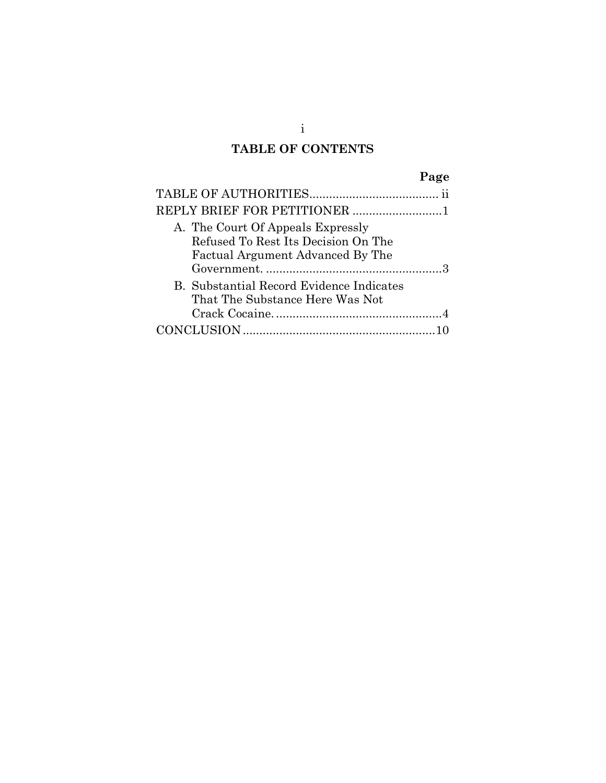### **TABLE OF CONTENTS**

| A. The Court Of Appeals Expressly<br>Refused To Rest Its Decision On The<br>Factual Argument Advanced By The |
|--------------------------------------------------------------------------------------------------------------|
| <b>B.</b> Substantial Record Evidence Indicates<br>That The Substance Here Was Not                           |
|                                                                                                              |

i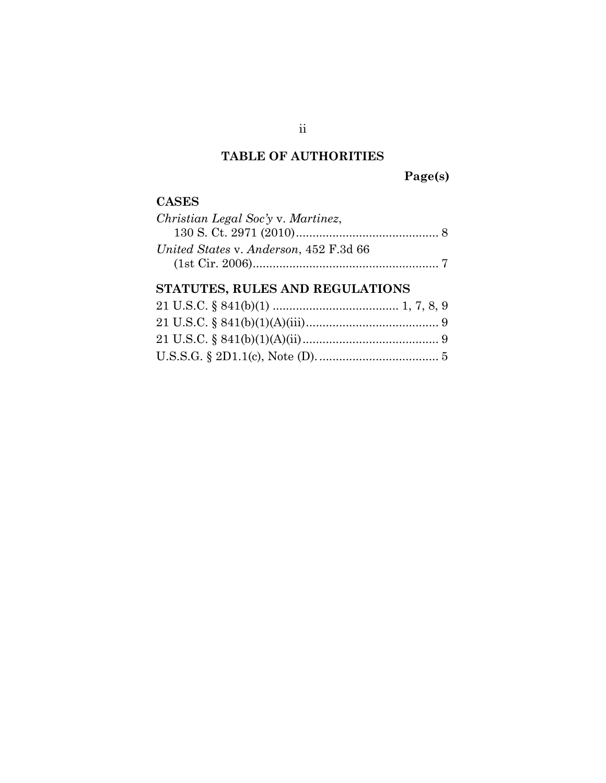## **TABLE OF AUTHORITIES**

**Page(s)**

#### **CASES**

| Christian Legal Soc'y v. Martinez,     |
|----------------------------------------|
|                                        |
| United States v. Anderson, 452 F.3d 66 |
|                                        |

### **STATUTES, RULES AND REGULATIONS**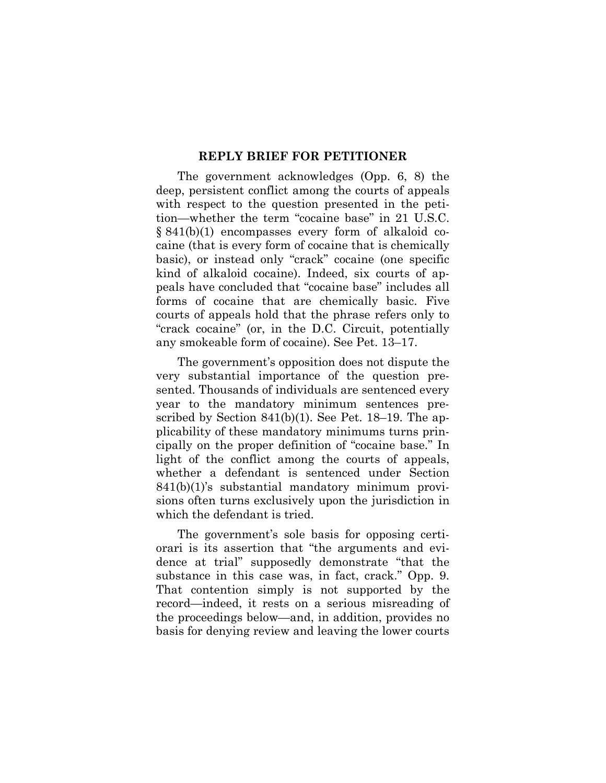#### **REPLY BRIEF FOR PETITIONER**

The government acknowledges (Opp. 6, 8) the deep, persistent conflict among the courts of appeals with respect to the question presented in the petition—whether the term "cocaine base" in 21 U.S.C. § 841(b)(1) encompasses every form of alkaloid cocaine (that is every form of cocaine that is chemically basic), or instead only "crack" cocaine (one specific kind of alkaloid cocaine). Indeed, six courts of appeals have concluded that "cocaine base" includes all forms of cocaine that are chemically basic. Five courts of appeals hold that the phrase refers only to "crack cocaine" (or, in the D.C. Circuit, potentially any smokeable form of cocaine). See Pet. 13–17.

The government's opposition does not dispute the very substantial importance of the question presented. Thousands of individuals are sentenced every year to the mandatory minimum sentences prescribed by Section 841(b)(1). See Pet. 18–19. The applicability of these mandatory minimums turns principally on the proper definition of "cocaine base." In light of the conflict among the courts of appeals, whether a defendant is sentenced under Section 841(b)(1)'s substantial mandatory minimum provisions often turns exclusively upon the jurisdiction in which the defendant is tried.

The government's sole basis for opposing certiorari is its assertion that "the arguments and evidence at trial" supposedly demonstrate "that the substance in this case was, in fact, crack." Opp. 9. That contention simply is not supported by the record—indeed, it rests on a serious misreading of the proceedings below—and, in addition, provides no basis for denying review and leaving the lower courts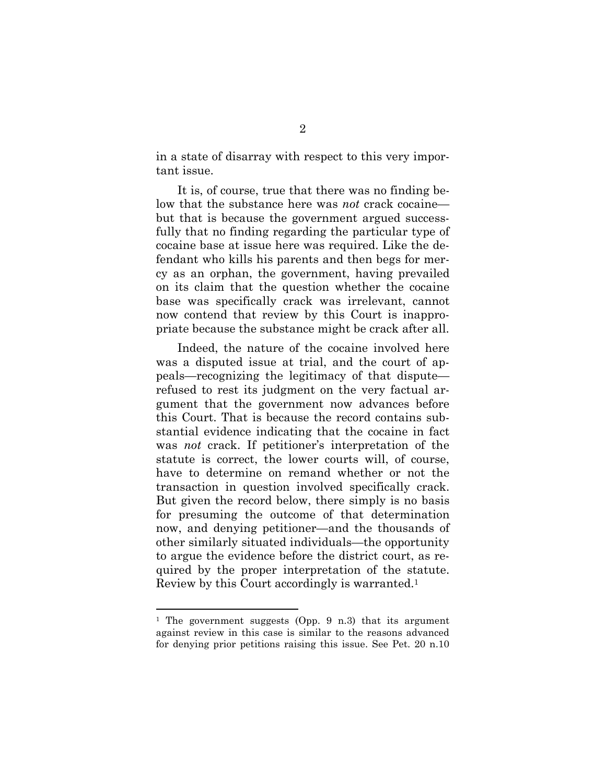in a state of disarray with respect to this very important issue.

It is, of course, true that there was no finding below that the substance here was *not* crack cocaine but that is because the government argued successfully that no finding regarding the particular type of cocaine base at issue here was required. Like the defendant who kills his parents and then begs for mercy as an orphan, the government, having prevailed on its claim that the question whether the cocaine base was specifically crack was irrelevant, cannot now contend that review by this Court is inappropriate because the substance might be crack after all.

Indeed, the nature of the cocaine involved here was a disputed issue at trial, and the court of appeals—recognizing the legitimacy of that dispute refused to rest its judgment on the very factual argument that the government now advances before this Court. That is because the record contains substantial evidence indicating that the cocaine in fact was *not* crack. If petitioner's interpretation of the statute is correct, the lower courts will, of course, have to determine on remand whether or not the transaction in question involved specifically crack. But given the record below, there simply is no basis for presuming the outcome of that determination now, and denying petitioner—and the thousands of other similarly situated individuals—the opportunity to argue the evidence before the district court, as required by the proper interpretation of the statute. Review by this Court accordingly is warranted.<sup>1</sup>

<sup>&</sup>lt;sup>1</sup> The government suggests (Opp. 9 n.3) that its argument against review in this case is similar to the reasons advanced for denying prior petitions raising this issue. See Pet. 20 n.10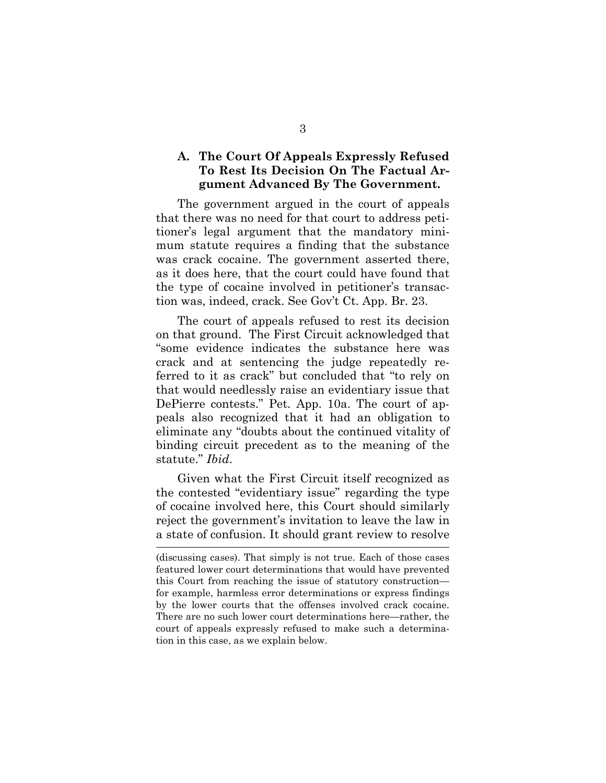#### **A. The Court Of Appeals Expressly Refused To Rest Its Decision On The Factual Argument Advanced By The Government.**

The government argued in the court of appeals that there was no need for that court to address petitioner's legal argument that the mandatory minimum statute requires a finding that the substance was crack cocaine. The government asserted there, as it does here, that the court could have found that the type of cocaine involved in petitioner's transaction was, indeed, crack. See Gov't Ct. App. Br. 23.

The court of appeals refused to rest its decision on that ground. The First Circuit acknowledged that "some evidence indicates the substance here was crack and at sentencing the judge repeatedly referred to it as crack" but concluded that "to rely on that would needlessly raise an evidentiary issue that DePierre contests." Pet. App. 10a. The court of appeals also recognized that it had an obligation to eliminate any "doubts about the continued vitality of binding circuit precedent as to the meaning of the statute." *Ibid*.

Given what the First Circuit itself recognized as the contested "evidentiary issue" regarding the type of cocaine involved here, this Court should similarly reject the government's invitation to leave the law in a state of confusion. It should grant review to resolve

<sup>(</sup>discussing cases). That simply is not true. Each of those cases featured lower court determinations that would have prevented this Court from reaching the issue of statutory construction for example, harmless error determinations or express findings by the lower courts that the offenses involved crack cocaine. There are no such lower court determinations here—rather, the court of appeals expressly refused to make such a determination in this case, as we explain below.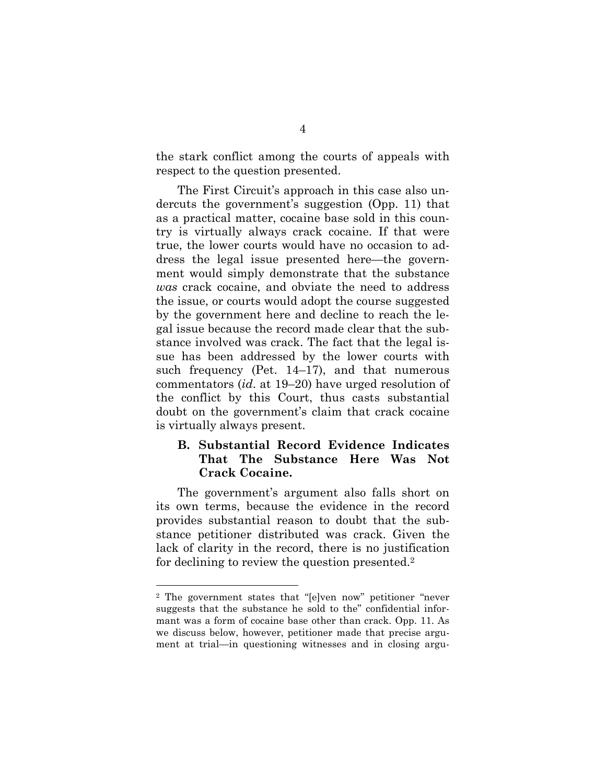the stark conflict among the courts of appeals with respect to the question presented.

The First Circuit's approach in this case also undercuts the government's suggestion (Opp. 11) that as a practical matter, cocaine base sold in this country is virtually always crack cocaine. If that were true, the lower courts would have no occasion to address the legal issue presented here—the government would simply demonstrate that the substance *was* crack cocaine, and obviate the need to address the issue, or courts would adopt the course suggested by the government here and decline to reach the legal issue because the record made clear that the substance involved was crack. The fact that the legal issue has been addressed by the lower courts with such frequency (Pet. 14–17), and that numerous commentators (*id*. at 19–20) have urged resolution of the conflict by this Court, thus casts substantial doubt on the government's claim that crack cocaine is virtually always present.

#### **B. Substantial Record Evidence Indicates That The Substance Here Was Not Crack Cocaine.**

The government's argument also falls short on its own terms, because the evidence in the record provides substantial reason to doubt that the substance petitioner distributed was crack. Given the lack of clarity in the record, there is no justification for declining to review the question presented.<sup>2</sup>

<sup>2</sup> The government states that "[e]ven now" petitioner "never suggests that the substance he sold to the" confidential informant was a form of cocaine base other than crack. Opp. 11. As we discuss below, however, petitioner made that precise argument at trial—in questioning witnesses and in closing argu-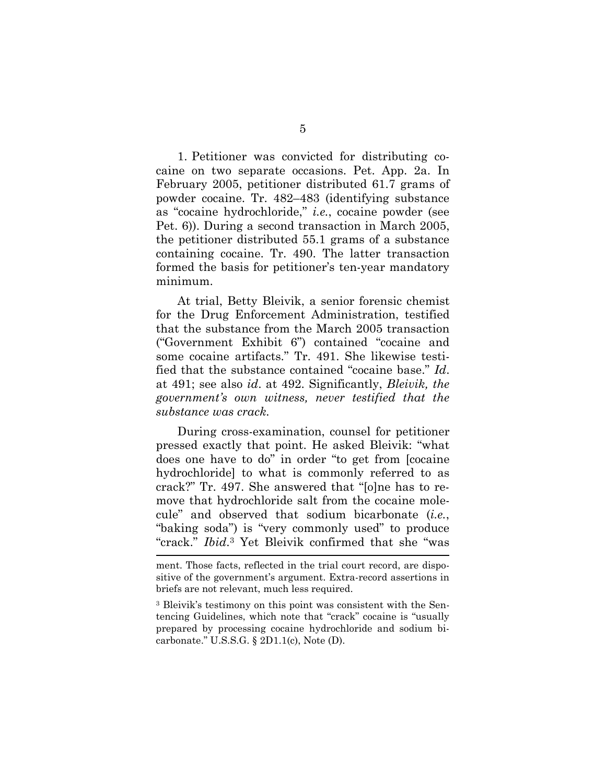1. Petitioner was convicted for distributing cocaine on two separate occasions. Pet. App. 2a. In February 2005, petitioner distributed 61.7 grams of powder cocaine. Tr. 482–483 (identifying substance as "cocaine hydrochloride," *i.e.*, cocaine powder (see Pet. 6)). During a second transaction in March 2005, the petitioner distributed 55.1 grams of a substance containing cocaine. Tr. 490. The latter transaction formed the basis for petitioner's ten-year mandatory minimum.

At trial, Betty Bleivik, a senior forensic chemist for the Drug Enforcement Administration, testified that the substance from the March 2005 transaction ("Government Exhibit 6") contained "cocaine and some cocaine artifacts." Tr. 491. She likewise testified that the substance contained "cocaine base." *Id*. at 491; see also *id*. at 492. Significantly, *Bleivik, the government's own witness, never testified that the substance was crack.*

During cross-examination, counsel for petitioner pressed exactly that point. He asked Bleivik: "what does one have to do" in order "to get from [cocaine hydrochloride] to what is commonly referred to as crack?" Tr. 497. She answered that "[o]ne has to remove that hydrochloride salt from the cocaine molecule" and observed that sodium bicarbonate (*i.e.*, "baking soda") is "very commonly used" to produce "crack." *Ibid*. <sup>3</sup> Yet Bleivik confirmed that she "was

ment. Those facts, reflected in the trial court record, are dispositive of the government's argument. Extra-record assertions in briefs are not relevant, much less required.

<sup>3</sup> Bleivik's testimony on this point was consistent with the Sentencing Guidelines, which note that "crack" cocaine is "usually prepared by processing cocaine hydrochloride and sodium bicarbonate." U.S.S.G. § 2D1.1(c), Note (D).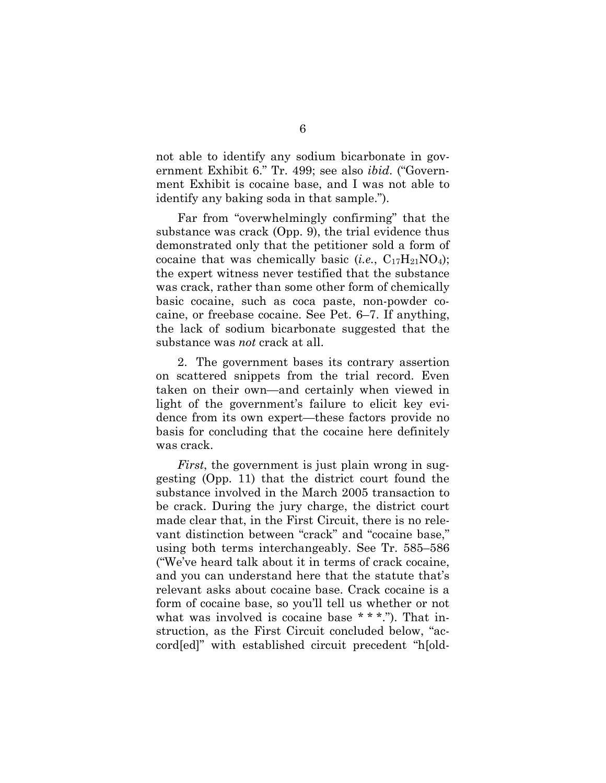not able to identify any sodium bicarbonate in government Exhibit 6." Tr. 499; see also *ibid*. ("Government Exhibit is cocaine base, and I was not able to identify any baking soda in that sample.").

Far from "overwhelmingly confirming" that the substance was crack (Opp. 9), the trial evidence thus demonstrated only that the petitioner sold a form of cocaine that was chemically basic (*i.e.*,  $C_{17}H_{21}NO<sub>4</sub>$ ); the expert witness never testified that the substance was crack, rather than some other form of chemically basic cocaine, such as coca paste, non-powder cocaine, or freebase cocaine. See Pet. 6–7. If anything, the lack of sodium bicarbonate suggested that the substance was *not* crack at all.

2. The government bases its contrary assertion on scattered snippets from the trial record. Even taken on their own—and certainly when viewed in light of the government's failure to elicit key evidence from its own expert—these factors provide no basis for concluding that the cocaine here definitely was crack.

*First*, the government is just plain wrong in suggesting (Opp. 11) that the district court found the substance involved in the March 2005 transaction to be crack. During the jury charge, the district court made clear that, in the First Circuit, there is no relevant distinction between "crack" and "cocaine base," using both terms interchangeably. See Tr. 585–586 ("We've heard talk about it in terms of crack cocaine, and you can understand here that the statute that's relevant asks about cocaine base. Crack cocaine is a form of cocaine base, so you'll tell us whether or not what was involved is cocaine base \* \* \*."). That instruction, as the First Circuit concluded below, "accord[ed]" with established circuit precedent "h[old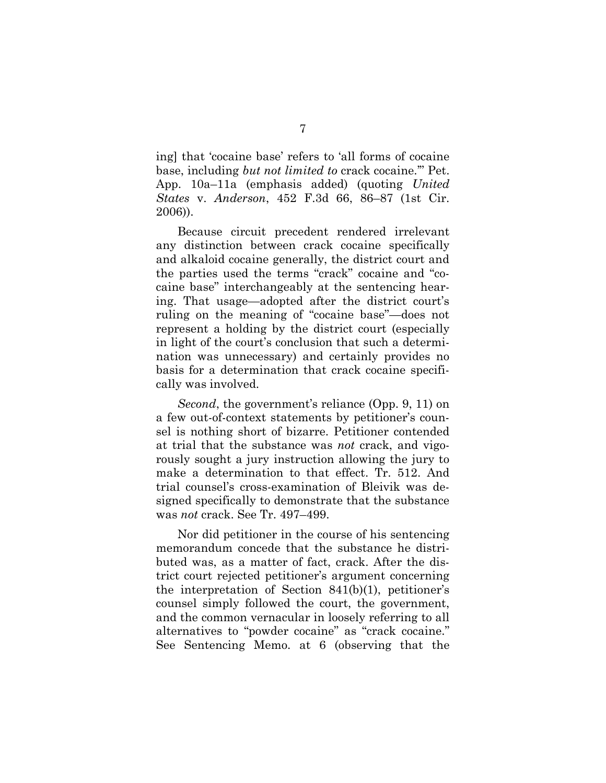ing] that 'cocaine base' refers to 'all forms of cocaine base, including *but not limited to* crack cocaine.'" Pet. App. 10a–11a (emphasis added) (quoting *United States* v. *Anderson*, 452 F.3d 66, 86–87 (1st Cir. 2006)).

Because circuit precedent rendered irrelevant any distinction between crack cocaine specifically and alkaloid cocaine generally, the district court and the parties used the terms "crack" cocaine and "cocaine base" interchangeably at the sentencing hearing. That usage—adopted after the district court's ruling on the meaning of "cocaine base"—does not represent a holding by the district court (especially in light of the court's conclusion that such a determination was unnecessary) and certainly provides no basis for a determination that crack cocaine specifically was involved.

*Second*, the government's reliance (Opp. 9, 11) on a few out-of-context statements by petitioner's counsel is nothing short of bizarre. Petitioner contended at trial that the substance was *not* crack, and vigorously sought a jury instruction allowing the jury to make a determination to that effect. Tr. 512. And trial counsel's cross-examination of Bleivik was designed specifically to demonstrate that the substance was *not* crack. See Tr. 497–499.

Nor did petitioner in the course of his sentencing memorandum concede that the substance he distributed was, as a matter of fact, crack. After the district court rejected petitioner's argument concerning the interpretation of Section 841(b)(1), petitioner's counsel simply followed the court, the government, and the common vernacular in loosely referring to all alternatives to "powder cocaine" as "crack cocaine." See Sentencing Memo. at 6 (observing that the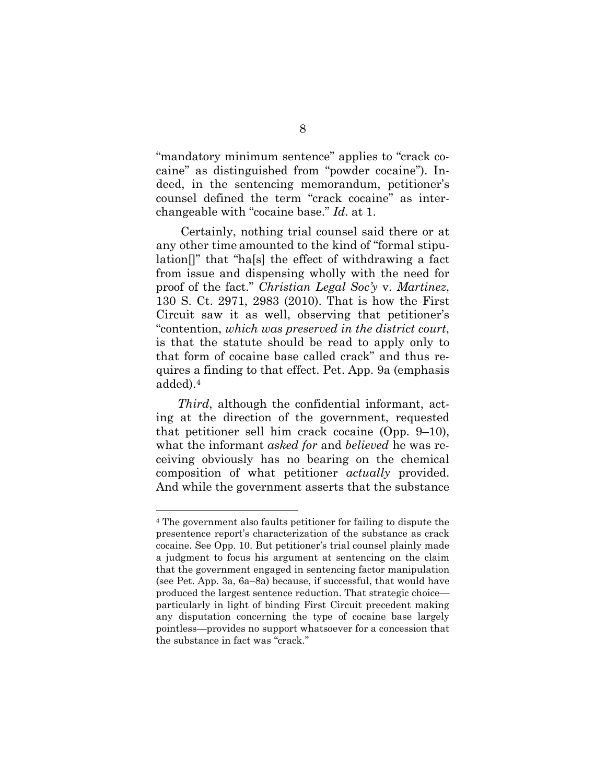"mandatory minimum sentence" applies to "crack cocaine" as distinguished from "powder cocaine"). Indeed, in the sentencing memorandum, petitioner's counsel defined the term "crack cocaine" as interchangeable with "cocaine base." *Id*. at 1.

Certainly, nothing trial counsel said there or at any other time amounted to the kind of "formal stipulation[]" that "ha[s] the effect of withdrawing a fact from issue and dispensing wholly with the need for proof of the fact." *Christian Legal Soc'y* v. *Martinez*, 130 S. Ct. 2971, 2983 (2010). That is how the First Circuit saw it as well, observing that petitioner's "contention, *which was preserved in the district court*, is that the statute should be read to apply only to that form of cocaine base called crack" and thus requires a finding to that effect. Pet. App. 9a (emphasis added).<sup>4</sup>

*Third*, although the confidential informant, acting at the direction of the government, requested that petitioner sell him crack cocaine (Opp. 9–10), what the informant *asked for* and *believed* he was receiving obviously has no bearing on the chemical composition of what petitioner *actually* provided. And while the government asserts that the substance

<sup>4</sup> The government also faults petitioner for failing to dispute the presentence report's characterization of the substance as crack cocaine. See Opp. 10. But petitioner's trial counsel plainly made a judgment to focus his argument at sentencing on the claim that the government engaged in sentencing factor manipulation (see Pet. App. 3a, 6a–8a) because, if successful, that would have produced the largest sentence reduction. That strategic choice particularly in light of binding First Circuit precedent making any disputation concerning the type of cocaine base largely pointless—provides no support whatsoever for a concession that the substance in fact was "crack."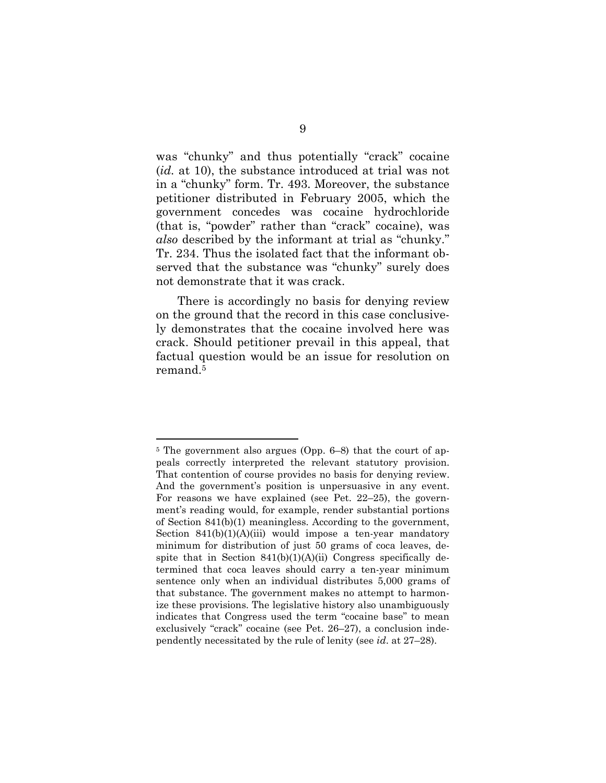was "chunky" and thus potentially "crack" cocaine (*id.* at 10), the substance introduced at trial was not in a "chunky" form. Tr. 493. Moreover, the substance petitioner distributed in February 2005, which the government concedes was cocaine hydrochloride (that is, "powder" rather than "crack" cocaine), was *also* described by the informant at trial as "chunky." Tr. 234. Thus the isolated fact that the informant observed that the substance was "chunky" surely does not demonstrate that it was crack.

There is accordingly no basis for denying review on the ground that the record in this case conclusively demonstrates that the cocaine involved here was crack. Should petitioner prevail in this appeal, that factual question would be an issue for resolution on remand.<sup>5</sup>

<sup>5</sup> The government also argues (Opp. 6–8) that the court of appeals correctly interpreted the relevant statutory provision. That contention of course provides no basis for denying review. And the government's position is unpersuasive in any event. For reasons we have explained (see Pet. 22–25), the government's reading would, for example, render substantial portions of Section 841(b)(1) meaningless. According to the government, Section  $841(b)(1)(A)(iii)$  would impose a ten-year mandatory minimum for distribution of just 50 grams of coca leaves, despite that in Section  $841(b)(1)(A)(ii)$  Congress specifically determined that coca leaves should carry a ten-year minimum sentence only when an individual distributes 5,000 grams of that substance. The government makes no attempt to harmonize these provisions. The legislative history also unambiguously indicates that Congress used the term "cocaine base" to mean exclusively "crack" cocaine (see Pet. 26–27), a conclusion independently necessitated by the rule of lenity (see *id*. at 27–28).